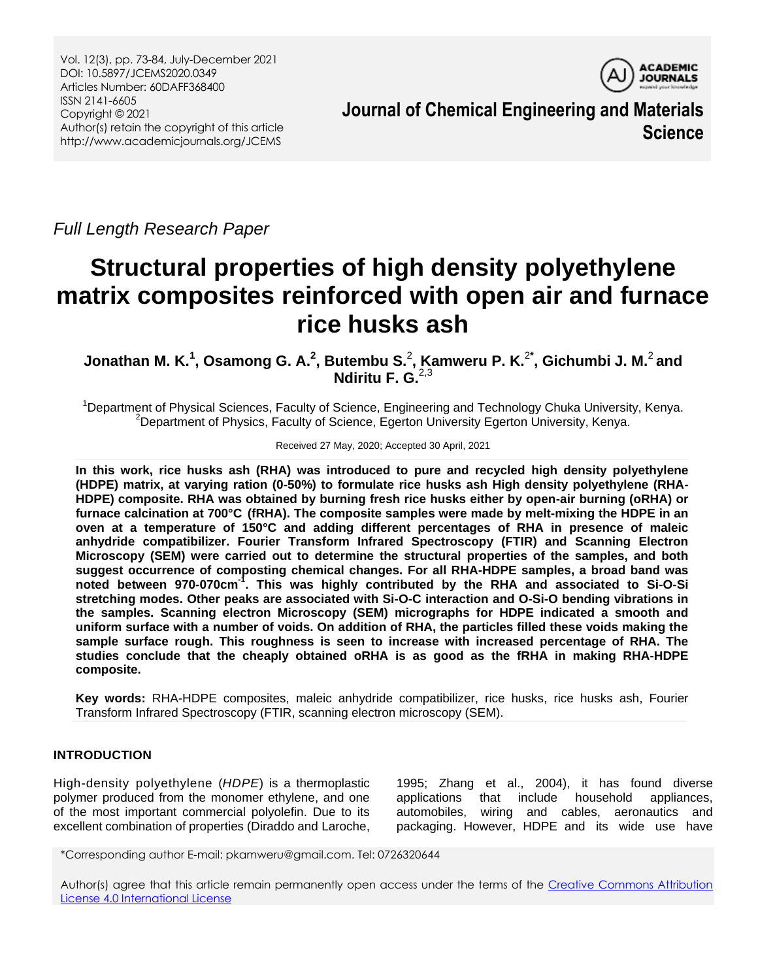

**Journal of Chemical Engineering and Materials Science**

*Full Length Research Paper*

# **Structural properties of high density polyethylene matrix composites reinforced with open air and furnace rice husks ash**

**Jonathan M. K. 1 , Osamong G. A. 2 , Butembu S.** 2 **, Kamweru P. K.** 2**\* , Gichumbi J. M.** 2 **and Ndiritu F. G.** 2,3

<sup>1</sup>Department of Physical Sciences, Faculty of Science, Engineering and Technology Chuka University, Kenya. <sup>2</sup>Department of Physics, Faculty of Science, Egerton University Egerton University, Kenya.

Received 27 May, 2020; Accepted 30 April, 2021

**In this work, rice husks ash (RHA) was introduced to pure and recycled high density polyethylene (HDPE) matrix, at varying ration (0-50%) to formulate rice husks ash High density polyethylene (RHA-HDPE) composite. RHA was obtained by burning fresh rice husks either by open-air burning (oRHA) or furnace calcination at 700°C (fRHA). The composite samples were made by melt-mixing the HDPE in an oven at a temperature of 150°C and adding different percentages of RHA in presence of maleic anhydride compatibilizer. Fourier Transform Infrared Spectroscopy (FTIR) and Scanning Electron Microscopy (SEM) were carried out to determine the structural properties of the samples, and both suggest occurrence of composting chemical changes. For all RHA-HDPE samples, a broad band was noted between 970-070cm-1 . This was highly contributed by the RHA and associated to Si-O-Si stretching modes. Other peaks are associated with Si-O-C interaction and O-Si-O bending vibrations in the samples. Scanning electron Microscopy (SEM) micrographs for HDPE indicated a smooth and uniform surface with a number of voids. On addition of RHA, the particles filled these voids making the sample surface rough. This roughness is seen to increase with increased percentage of RHA. The studies conclude that the cheaply obtained oRHA is as good as the fRHA in making RHA-HDPE composite.** 

**Key words:** RHA-HDPE composites, maleic anhydride compatibilizer, rice husks, rice husks ash, Fourier Transform Infrared Spectroscopy (FTIR, scanning electron microscopy (SEM).

# **INTRODUCTION**

High-density polyethylene (*HDPE*) is a thermoplastic polymer produced from the monomer ethylene, and one of the most important commercial polyolefin. Due to its excellent combination of properties (Diraddo and Laroche,

1995; Zhang et al., 2004), it has found diverse applications that include household appliances, automobiles, wiring and cables, aeronautics and packaging. However, HDPE and its wide use have

\*Corresponding author E-mail: pkamweru@gmail.com. Tel: 0726320644

Author(s) agree that this article remain permanently open access under the terms of the Creative Commons Attribution [License 4.0 International License](http://creativecommons.org/licenses/by/4.0/deed.en_US)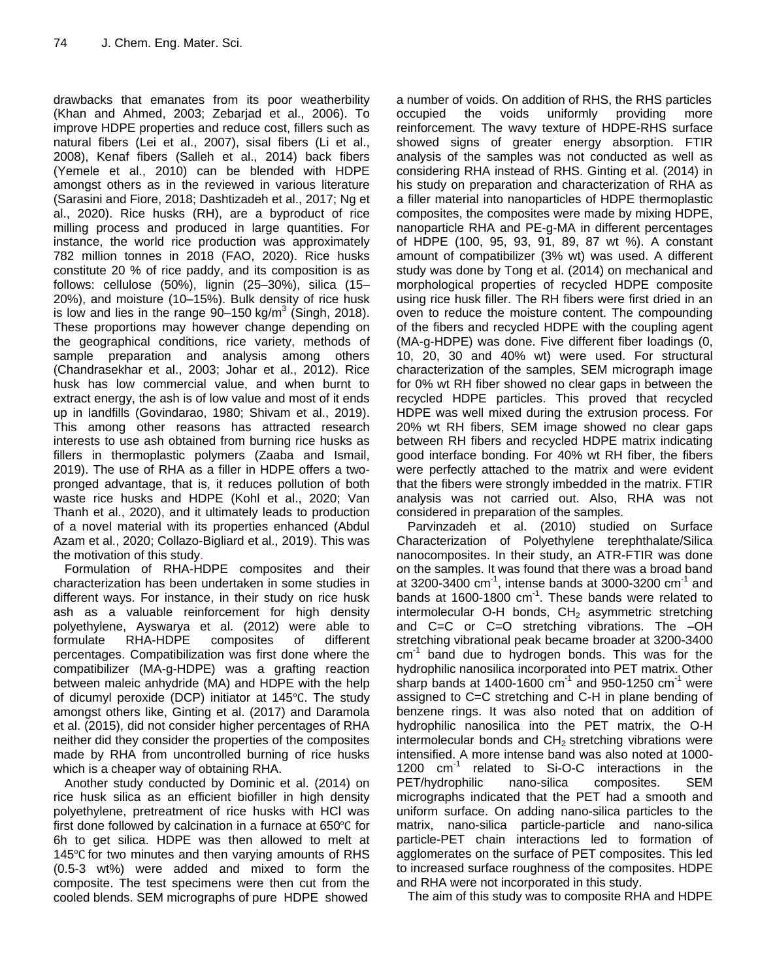drawbacks that emanates from its poor weatherbility (Khan and Ahmed, 2003; Zebarjad et al., 2006). To improve HDPE properties and reduce cost, fillers such as natural fibers (Lei et al., 2007), sisal fibers (Li et al., 2008), Kenaf fibers (Salleh et al., 2014) back fibers (Yemele et al., 2010) can be blended with HDPE amongst others as in the reviewed in various literature (Sarasini and Fiore, 2018; Dashtizadeh et al., 2017; Ng et al., 2020). Rice husks (RH), are a byproduct of rice milling process and produced in large quantities. For instance, the world rice production was approximately 782 million tonnes in 2018 (FAO, 2020). Rice husks constitute 20 % of rice paddy, and its composition is as follows: cellulose (50%), lignin (25–30%), silica (15– 20%), and moisture (10–15%). Bulk density of rice husk is low and lies in the range  $90-150$  kg/m<sup>3</sup> (Singh, 2018). These proportions may however change depending on the geographical conditions, rice variety, methods of sample preparation and analysis among others (Chandrasekhar et al., 2003; Johar et al., 2012). Rice husk has low commercial value, and when burnt to extract energy, the ash is of low value and most of it ends up in landfills (Govindarao, 1980; Shivam et al., 2019). This among other reasons has attracted research interests to use ash obtained from burning rice husks as fillers in thermoplastic polymers (Zaaba and Ismail, 2019). The use of RHA as a filler in HDPE offers a twopronged advantage, that is, it reduces pollution of both waste rice husks and HDPE (Kohl et al., 2020; Van Thanh et al., 2020), and it ultimately leads to production of a novel material with its properties enhanced (Abdul Azam et al., 2020; Collazo-Bigliard et al., 2019). This was the motivation of this study.

Formulation of RHA-HDPE composites and their characterization has been undertaken in some studies in different ways. For instance, in their study on rice husk ash as a valuable reinforcement for high density polyethylene, Ayswarya et al. (2012) were able to formulate RHA-HDPE composites of different percentages. Compatibilization was first done where the compatibilizer (MA-g-HDPE) was a grafting reaction between maleic anhydride (MA) and HDPE with the help of dicumyl peroxide (DCP) initiator at 145°C. The study amongst others like, Ginting et al. (2017) and Daramola et al. (2015), did not consider higher percentages of RHA neither did they consider the properties of the composites made by RHA from uncontrolled burning of rice husks which is a cheaper way of obtaining RHA.

Another study conducted by Dominic et al. (2014) on rice husk silica as an efficient biofiller in high density polyethylene, pretreatment of rice husks with HCl was first done followed by calcination in a furnace at  $650^{\circ}$ C for 6h to get silica. HDPE was then allowed to melt at 145 $\degree$ C for two minutes and then varying amounts of RHS (0.5-3 wt%) were added and mixed to form the composite. The test specimens were then cut from the cooled blends. SEM micrographs of pure HDPE showed

a number of voids. On addition of RHS, the RHS particles occupied the voids uniformly providing more reinforcement. The wavy texture of HDPE-RHS surface showed signs of greater energy absorption. FTIR analysis of the samples was not conducted as well as considering RHA instead of RHS. Ginting et al. (2014) in his study on preparation and characterization of RHA as a filler material into nanoparticles of HDPE thermoplastic composites, the composites were made by mixing HDPE, nanoparticle RHA and PE-g-MA in different percentages of HDPE (100, 95, 93, 91, 89, 87 wt %). A constant amount of compatibilizer (3% wt) was used. A different study was done by Tong et al. (2014) on mechanical and morphological properties of recycled HDPE composite using rice husk filler. The RH fibers were first dried in an oven to reduce the moisture content. The compounding of the fibers and recycled HDPE with the coupling agent (MA-g-HDPE) was done. Five different fiber loadings (0, 10, 20, 30 and 40% wt) were used. For structural characterization of the samples, SEM micrograph image for 0% wt RH fiber showed no clear gaps in between the recycled HDPE particles. This proved that recycled HDPE was well mixed during the extrusion process. For 20% wt RH fibers, SEM image showed no clear gaps between RH fibers and recycled HDPE matrix indicating good interface bonding. For 40% wt RH fiber, the fibers were perfectly attached to the matrix and were evident that the fibers were strongly imbedded in the matrix. FTIR analysis was not carried out. Also, RHA was not considered in preparation of the samples.

Parvinzadeh et al. (2010) studied on Surface Characterization of Polyethylene terephthalate/Silica nanocomposites. In their study, an ATR-FTIR was done on the samples. It was found that there was a broad band at 3200-3400 cm $^{-1}$ , intense bands at 3000-3200 cm $^{-1}$  and bands at 1600-1800  $cm<sup>-1</sup>$ . These bands were related to intermolecular O-H bonds,  $CH<sub>2</sub>$  asymmetric stretching and C=C or C=O stretching vibrations. The –OH stretching vibrational peak became broader at 3200-3400 cm<sup>-1</sup> band due to hydrogen bonds. This was for the hydrophilic nanosilica incorporated into PET matrix. Other sharp bands at 1400-1600 cm<sup>-1</sup> and 950-1250 cm<sup>-1</sup> were assigned to C=C stretching and C-H in plane bending of benzene rings. It was also noted that on addition of hydrophilic nanosilica into the PET matrix, the O-H intermolecular bonds and  $CH<sub>2</sub>$  stretching vibrations were intensified. A more intense band was also noted at 1000- 1200 cm<sup>-1</sup> related to Si-O-C interactions in the PET/hydrophilic nano-silica composites. SEM micrographs indicated that the PET had a smooth and uniform surface. On adding nano-silica particles to the matrix, nano-silica particle-particle and nano-silica particle-PET chain interactions led to formation of agglomerates on the surface of PET composites. This led to increased surface roughness of the composites. HDPE and RHA were not incorporated in this study.

The aim of this study was to composite RHA and HDPE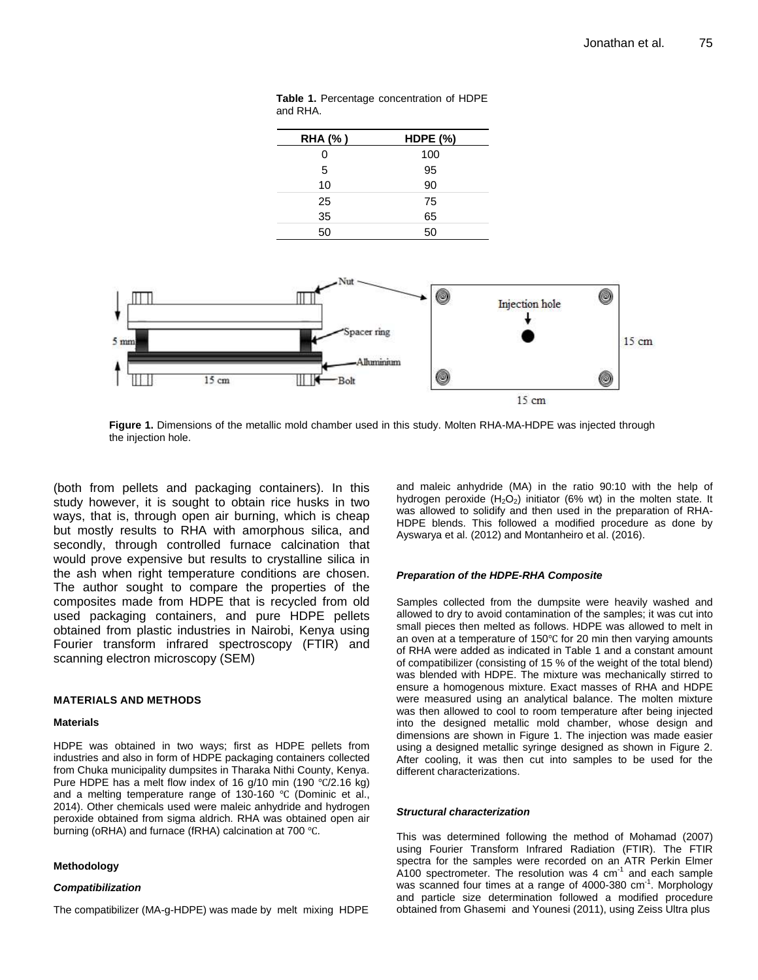| <b>RHA(%)</b> | <b>HDPE (%)</b> |
|---------------|-----------------|
| 0             | 100             |
| 5             | 95              |
| 10            | 90              |
| 25            | 75              |
| 35            | 65              |
| 50            | 50              |

**Table 1.** Percentage concentration of HDPE and RHA.



**Figure 1.** Dimensions of the metallic mold chamber used in this study. Molten RHA-MA-HDPE was injected through the injection hole.

(both from pellets and packaging containers). In this study however, it is sought to obtain rice husks in two ways, that is, through open air burning, which is cheap but mostly results to RHA with amorphous silica, and secondly, through controlled furnace calcination that would prove expensive but results to crystalline silica in the ash when right temperature conditions are chosen. The author sought to compare the properties of the composites made from HDPE that is recycled from old used packaging containers, and pure HDPE pellets obtained from plastic industries in Nairobi, Kenya using Fourier transform infrared spectroscopy (FTIR) and scanning electron microscopy (SEM)

#### **MATERIALS AND METHODS**

#### **Materials**

HDPE was obtained in two ways; first as HDPE pellets from industries and also in form of HDPE packaging containers collected from Chuka municipality dumpsites in Tharaka Nithi County, Kenya. Pure HDPE has a melt flow index of 16 g/10 min (190  $\degree$ C/2.16 kg) and a melting temperature range of 130-160  $\degree$ C (Dominic et al., 2014). Other chemicals used were maleic anhydride and hydrogen peroxide obtained from sigma aldrich. RHA was obtained open air burning (oRHA) and furnace (fRHA) calcination at 700  $^{\circ}$ C.

#### **Methodology**

#### *Compatibilization*

The compatibilizer (MA-g-HDPE) was made by melt mixing HDPE

and maleic anhydride (MA) in the ratio 90:10 with the help of hydrogen peroxide  $(H_2O_2)$  initiator (6% wt) in the molten state. It was allowed to solidify and then used in the preparation of RHA-HDPE blends. This followed a modified procedure as done by Ayswarya et al. (2012) and Montanheiro et al. (2016).

#### *Preparation of the HDPE-RHA Composite*

Samples collected from the dumpsite were heavily washed and allowed to dry to avoid contamination of the samples; it was cut into small pieces then melted as follows. HDPE was allowed to melt in an oven at a temperature of  $150^{\circ}$ C for 20 min then varying amounts of RHA were added as indicated in Table 1 and a constant amount of compatibilizer (consisting of 15 % of the weight of the total blend) was blended with HDPE. The mixture was mechanically stirred to ensure a homogenous mixture. Exact masses of RHA and HDPE were measured using an analytical balance. The molten mixture was then allowed to cool to room temperature after being injected into the designed metallic mold chamber, whose design and dimensions are shown in Figure 1. The injection was made easier using a designed metallic syringe designed as shown in Figure 2. After cooling, it was then cut into samples to be used for the different characterizations.

#### *Structural characterization*

This was determined following the method of Mohamad (2007) using Fourier Transform Infrared Radiation (FTIR). The FTIR spectra for the samples were recorded on an ATR Perkin Elmer  $A100$  spectrometer. The resolution was 4  $cm<sup>-1</sup>$  and each sample was scanned four times at a range of 4000-380 cm<sup>-1</sup>. Morphology and particle size determination followed a modified procedure obtained from Ghasemi and Younesi (2011), using Zeiss Ultra plus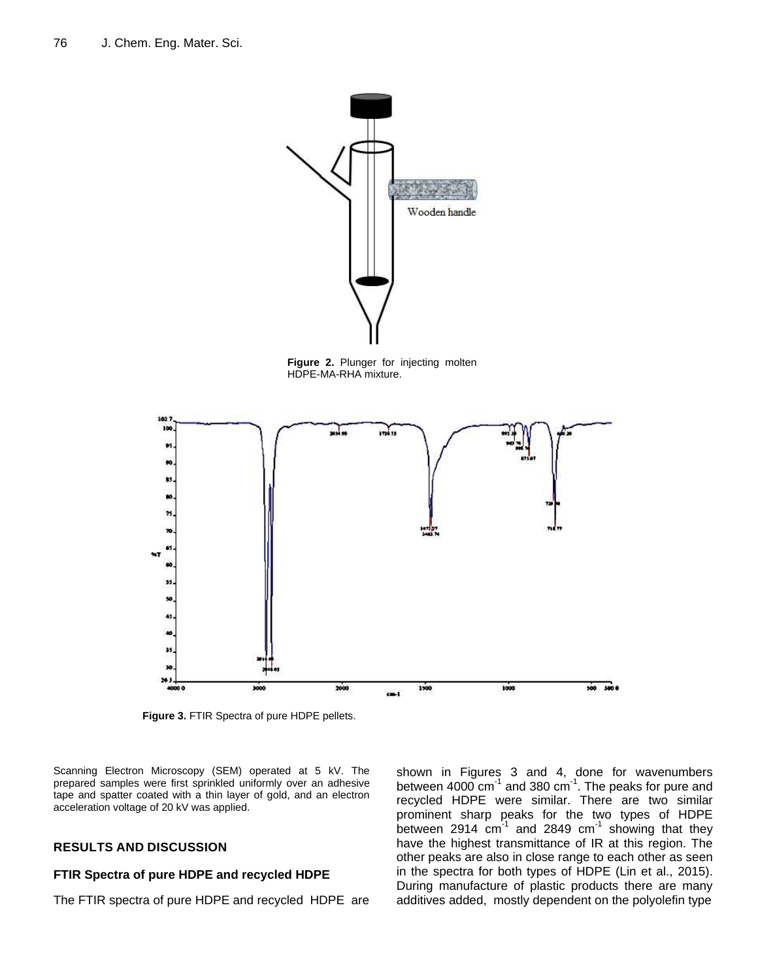

**Figure 2.** Plunger for injecting molten HDPE-MA-RHA mixture.



**Figure 3.** FTIR Spectra of pure HDPE pellets.

Scanning Electron Microscopy (SEM) operated at 5 kV. The prepared samples were first sprinkled uniformly over an adhesive tape and spatter coated with a thin layer of gold, and an electron acceleration voltage of 20 kV was applied.

## **RESULTS AND DISCUSSION**

### **FTIR Spectra of pure HDPE and recycled HDPE**

The FTIR spectra of pure HDPE and recycled HDPE are

shown in Figures 3 and 4, done for wavenumbers between 4000 cm $^{-1}$  and 380 cm $^{-1}$ . The peaks for pure and recycled HDPE were similar. There are two similar prominent sharp peaks for the two types of HDPE between 2914  $cm^{-1}$  and 2849  $cm^{-1}$  showing that they have the highest transmittance of IR at this region. The other peaks are also in close range to each other as seen in the spectra for both types of HDPE (Lin et al., 2015). During manufacture of plastic products there are many additives added, mostly dependent on the polyolefin type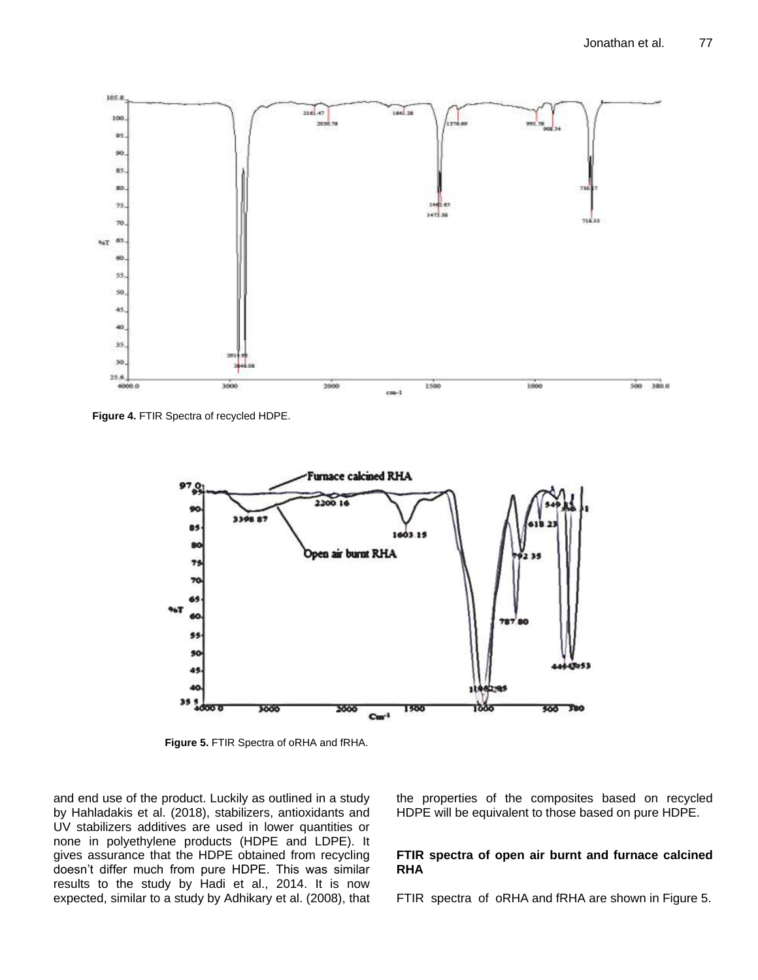

**Figure 4.** FTIR Spectra of recycled HDPE.



**Figure 5.** FTIR Spectra of oRHA and fRHA.

and end use of the product. Luckily as outlined in a study by Hahladakis et al. (2018), stabilizers, antioxidants and UV stabilizers additives are used in lower quantities or none in polyethylene products (HDPE and LDPE). It gives assurance that the HDPE obtained from recycling doesn't differ much from pure HDPE. This was similar results to the study by Hadi et al., 2014. It is now expected, similar to a study by Adhikary et al. (2008), that the properties of the composites based on recycled HDPE will be equivalent to those based on pure HDPE.

## **FTIR spectra of open air burnt and furnace calcined RHA**

FTIR spectra of oRHA and fRHA are shown in Figure 5.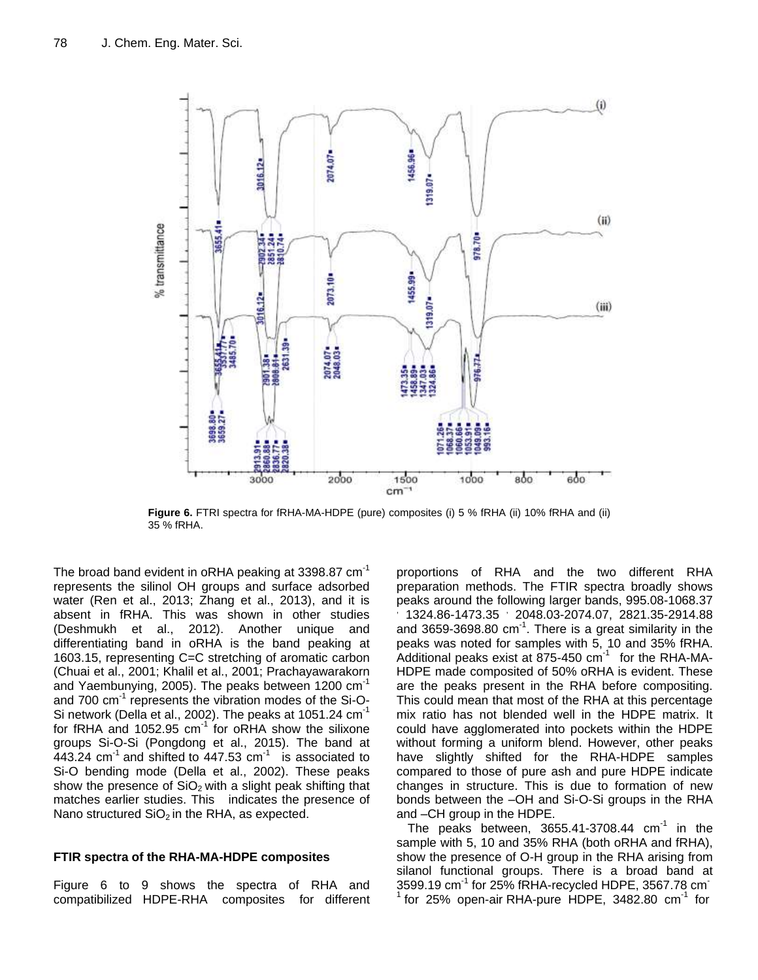

**Figure 6.** FTRI spectra for fRHA-MA-HDPE (pure) composites (i) 5 % fRHA (ii) 10% fRHA and (ii) 35 % fRHA.

The broad band evident in oRHA peaking at 3398.87 cm<sup>-1</sup> represents the silinol OH groups and surface adsorbed water (Ren et al., 2013; Zhang et al., 2013), and it is absent in fRHA. This was shown in other studies (Deshmukh et al., 2012). Another unique and differentiating band in oRHA is the band peaking at 1603.15, representing C=C stretching of aromatic carbon (Chuai et al., 2001; Khalil et al., 2001; Prachayawarakorn and Yaembunying, 2005). The peaks between 1200 cm<sup>-1</sup> and 700 cm<sup>-1</sup> represents the vibration modes of the Si-O-Si network (Della et al., 2002). The peaks at  $1051.24$  cm<sup>-1</sup> for fRHA and 1052.95  $cm^{-1}$  for oRHA show the silixone groups Si-O-Si (Pongdong et al., 2015). The band at  $443.24$  cm<sup>-1</sup> and shifted to  $447.53$  cm<sup>-1</sup> is associated to Si-O bending mode (Della et al., 2002). These peaks show the presence of  $SiO<sub>2</sub>$  with a slight peak shifting that matches earlier studies. This indicates the presence of Nano structured  $SiO<sub>2</sub>$  in the RHA, as expected.

## **FTIR spectra of the RHA-MA-HDPE composites**

Figure 6 to 9 shows the spectra of RHA and compatibilized HDPE-RHA composites for different

proportions of RHA and the two different RHA preparation methods. The FTIR spectra broadly shows peaks around the following larger bands, 995.08-1068.37 , 1324.86-1473.35 2048.03-2074.07, 2821.35-2914.88 and 3659-3698.80 cm $^{-1}$ . There is a great similarity in the peaks was noted for samples with 5, 10 and 35% fRHA. Additional peaks exist at 875-450  $cm^{-1}$  for the RHA-MA-HDPE made composited of 50% oRHA is evident. These are the peaks present in the RHA before compositing. This could mean that most of the RHA at this percentage mix ratio has not blended well in the HDPE matrix. It could have agglomerated into pockets within the HDPE without forming a uniform blend. However, other peaks have slightly shifted for the RHA-HDPE samples compared to those of pure ash and pure HDPE indicate changes in structure. This is due to formation of new bonds between the –OH and Si-O-Si groups in the RHA and –CH group in the HDPE.

The peaks between,  $3655.41 - 3708.44$  cm<sup>-1</sup> in the sample with 5, 10 and 35% RHA (both oRHA and fRHA), show the presence of O-H group in the RHA arising from silanol functional groups. There is a broad band at  $3599.19$  cm $^{-1}$  for 25% fRHA-recycled HDPE, 3567.78 cm $^{-1}$ 1 for 25% open-air RHA-pure HDPE, 3482.80 cm<sup>-1</sup> for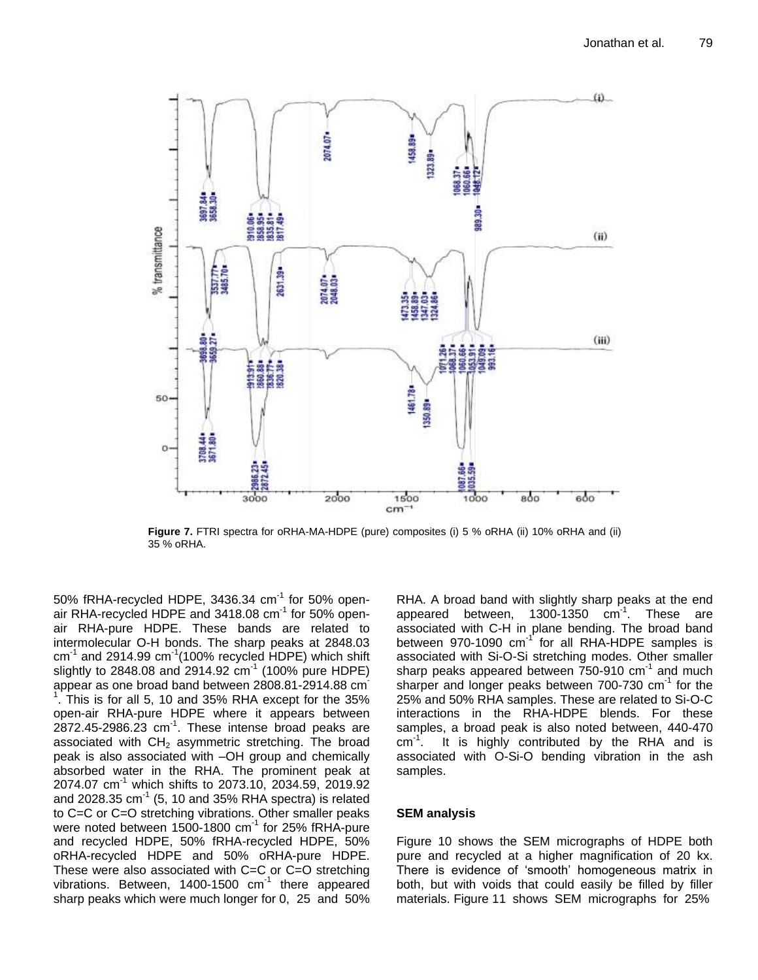

**Figure 7.** FTRI spectra for oRHA-MA-HDPE (pure) composites (i) 5 % oRHA (ii) 10% oRHA and (ii) 35 % oRHA.

50% fRHA-recycled HDPE, 3436.34 cm $^{-1}$  for 50% openair RHA-recycled HDPE and 3418.08 cm<sup>-1</sup> for 50% openair RHA-pure HDPE. These bands are related to intermolecular O-H bonds. The sharp peaks at 2848.03  $cm^{-1}$  and 2914.99  $cm^{-1}$ (100% recycled HDPE) which shift slightly to 2848.08 and 2914.92 cm-1 (100% pure HDPE) appear as one broad band between 2808.81-2914.88 cm- $1.$  This is for all 5, 10 and 35% RHA except for the 35% open-air RHA-pure HDPE where it appears between  $2872.45 - 2986.23$  cm<sup>-1</sup>. These intense broad peaks are associated with  $CH<sub>2</sub>$  asymmetric stretching. The broad peak is also associated with –OH group and chemically absorbed water in the RHA. The prominent peak at 2074.07 cm<sup>-1</sup> which shifts to 2073.10, 2034.59, 2019.92 and 2028.35 cm $^{-1}$  (5, 10 and 35% RHA spectra) is related to C=C or C=O stretching vibrations. Other smaller peaks were noted between 1500-1800  $cm^{-1}$  for 25% fRHA-pure and recycled HDPE, 50% fRHA-recycled HDPE, 50% oRHA-recycled HDPE and 50% oRHA-pure HDPE. These were also associated with C=C or C=O stretching vibrations. Between, 1400-1500 cm<sup>-1</sup> there appeared sharp peaks which were much longer for 0, 25 and 50%

RHA. A broad band with slightly sharp peaks at the end appeared between,  $1300 - 1350$   $cm^{-1}$ . These are associated with C-H in plane bending. The broad band between 970-1090 cm<sup>-1</sup> for all RHA-HDPE samples is associated with Si-O-Si stretching modes. Other smaller sharp peaks appeared between  $750-910$  cm<sup>-1</sup> and much sharper and longer peaks between 700-730 cm<sup>-1</sup> for the 25% and 50% RHA samples. These are related to Si-O-C interactions in the RHA-HDPE blends. For these samples, a broad peak is also noted between, 440-470  $cm^{-1}$ . It is highly contributed by the RHA and is associated with O-Si-O bending vibration in the ash samples.

## **SEM analysis**

Figure 10 shows the SEM micrographs of HDPE both pure and recycled at a higher magnification of 20 kx. There is evidence of 'smooth' homogeneous matrix in both, but with voids that could easily be filled by filler materials. Figure 11 shows SEM micrographs for 25%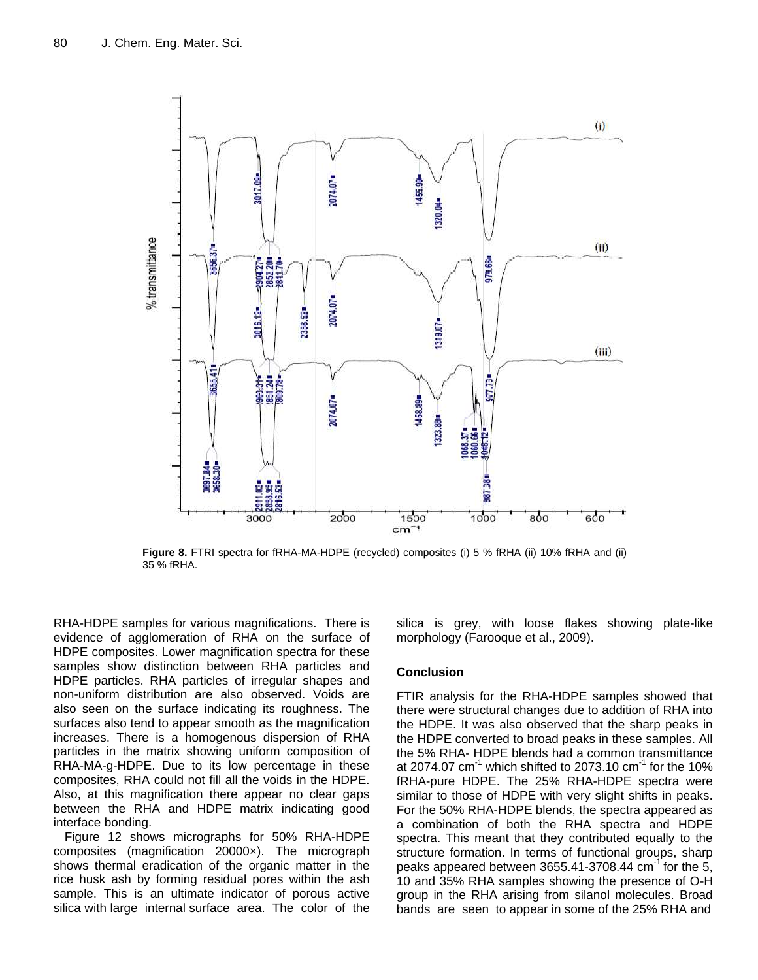

**Figure 8.** FTRI spectra for fRHA-MA-HDPE (recycled) composites (i) 5 % fRHA (ii) 10% fRHA and (ii) 35 % fRHA.

RHA-HDPE samples for various magnifications. There is evidence of agglomeration of RHA on the surface of HDPE composites. Lower magnification spectra for these samples show distinction between RHA particles and HDPE particles. RHA particles of irregular shapes and non-uniform distribution are also observed. Voids are also seen on the surface indicating its roughness. The surfaces also tend to appear smooth as the magnification increases. There is a homogenous dispersion of RHA particles in the matrix showing uniform composition of RHA-MA-g-HDPE. Due to its low percentage in these composites, RHA could not fill all the voids in the HDPE. Also, at this magnification there appear no clear gaps between the RHA and HDPE matrix indicating good interface bonding.

Figure 12 shows micrographs for 50% RHA-HDPE composites (magnification 20000×). The micrograph shows thermal eradication of the organic matter in the rice husk ash by forming residual pores within the ash sample. This is an ultimate indicator of porous active silica with large internal surface area. The color of the silica is grey, with loose flakes showing plate-like morphology (Farooque et al., 2009).

## **Conclusion**

FTIR analysis for the RHA-HDPE samples showed that there were structural changes due to addition of RHA into the HDPE. It was also observed that the sharp peaks in the HDPE converted to broad peaks in these samples. All the 5% RHA- HDPE blends had a common transmittance at 2074.07 cm<sup>-1</sup> which shifted to 2073.10 cm<sup>-1</sup> for the 10% fRHA-pure HDPE. The 25% RHA-HDPE spectra were similar to those of HDPE with very slight shifts in peaks. For the 50% RHA-HDPE blends, the spectra appeared as a combination of both the RHA spectra and HDPE spectra. This meant that they contributed equally to the structure formation. In terms of functional groups, sharp peaks appeared between  $3655.41 - 3708.44$  cm<sup>-1</sup> for the 5, 10 and 35% RHA samples showing the presence of O-H group in the RHA arising from silanol molecules. Broad bands are seen to appear in some of the 25% RHA and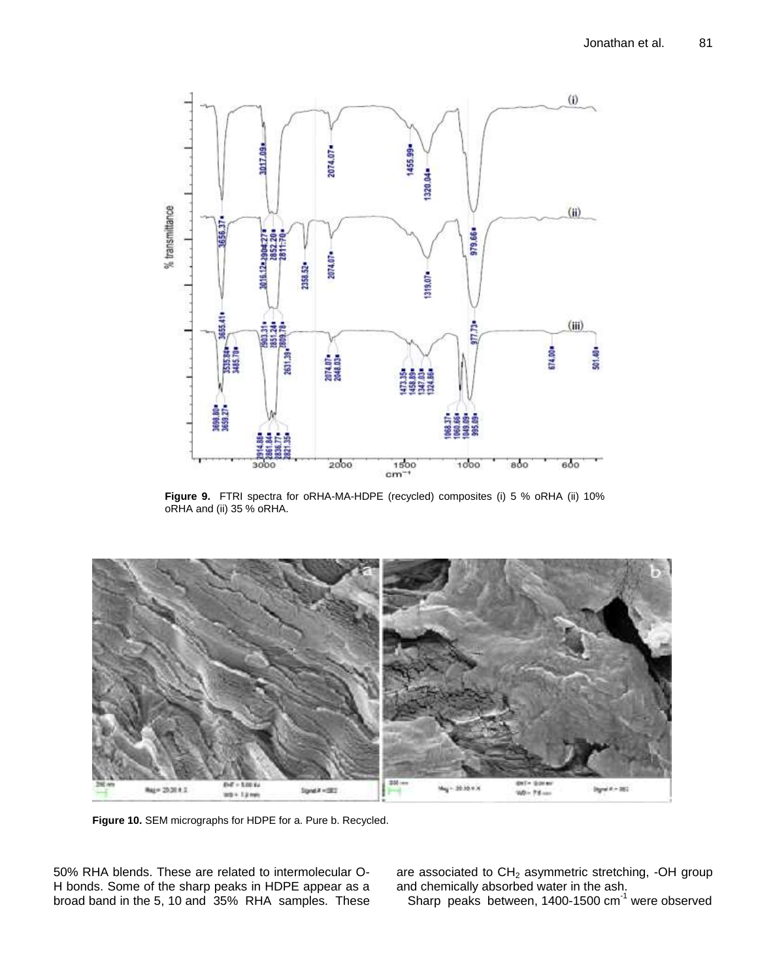

**Figure 9.** FTRI spectra for oRHA-MA-HDPE (recycled) composites (i) 5 % oRHA (ii) 10% oRHA and (ii) 35 % oRHA.



**Figure 10.** SEM micrographs for HDPE for a. Pure b. Recycled.

50% RHA blends. These are related to intermolecular O-H bonds. Some of the sharp peaks in HDPE appear as a broad band in the 5, 10 and 35% RHA samples. These are associated to  $CH<sub>2</sub>$  asymmetric stretching, -OH group and chemically absorbed water in the ash.

Sharp peaks between,  $1400-1500$  cm<sup>-1</sup> were observed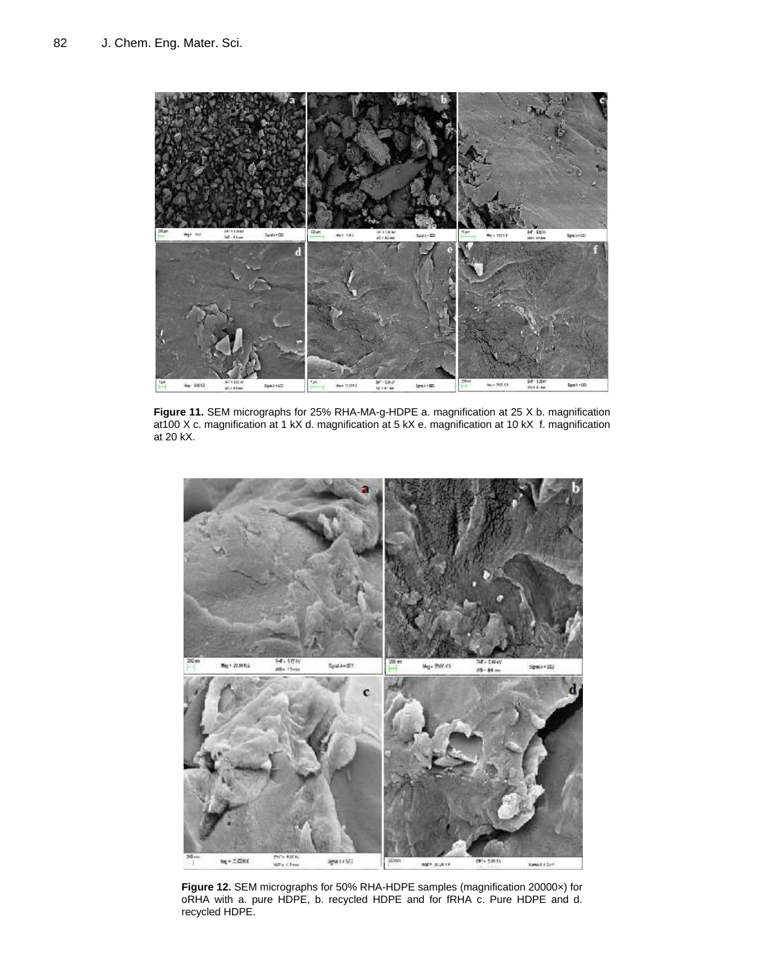

**Figure 11.** SEM micrographs for 25% RHA-MA-g-HDPE a. magnification at 25 X b. magnification at100 X c. magnification at 1 kX d. magnification at 5 kX e. magnification at 10 kX f. magnification at 20 kX.



**Figure 12.** SEM micrographs for 50% RHA-HDPE samples (magnification 20000×) for oRHA with a. pure HDPE, b. recycled HDPE and for fRHA c. Pure HDPE and d. recycled HDPE.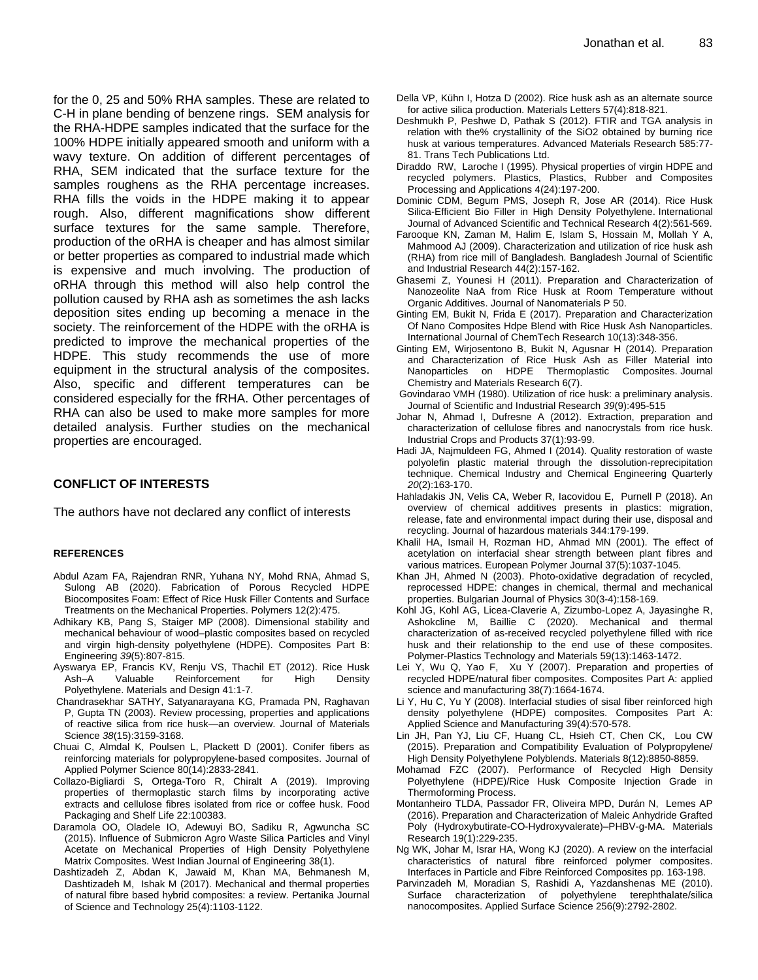for the 0, 25 and 50% RHA samples. These are related to C-H in plane bending of benzene rings. SEM analysis for the RHA-HDPE samples indicated that the surface for the 100% HDPE initially appeared smooth and uniform with a wavy texture. On addition of different percentages of RHA, SEM indicated that the surface texture for the samples roughens as the RHA percentage increases. RHA fills the voids in the HDPE making it to appear rough. Also, different magnifications show different surface textures for the same sample. Therefore, production of the oRHA is cheaper and has almost similar or better properties as compared to industrial made which is expensive and much involving. The production of oRHA through this method will also help control the pollution caused by RHA ash as sometimes the ash lacks deposition sites ending up becoming a menace in the society. The reinforcement of the HDPE with the oRHA is predicted to improve the mechanical properties of the HDPE. This study recommends the use of more equipment in the structural analysis of the composites. Also, specific and different temperatures can be considered especially for the fRHA. Other percentages of RHA can also be used to make more samples for more detailed analysis. Further studies on the mechanical properties are encouraged.

## **CONFLICT OF INTERESTS**

The authors have not declared any conflict of interests

#### **REFERENCES**

- Abdul Azam FA, Rajendran RNR, Yuhana NY, Mohd RNA, Ahmad S, Sulong AB (2020). Fabrication of Porous Recycled HDPE Biocomposites Foam: Effect of Rice Husk Filler Contents and Surface Treatments on the Mechanical Properties. Polymers 12(2):475.
- Adhikary KB, Pang S, Staiger MP (2008). Dimensional stability and mechanical behaviour of wood–plastic composites based on recycled and virgin high-density polyethylene (HDPE). Composites Part B: Engineering *39*(5):807-815.
- Ayswarya EP, Francis KV, Renju VS, Thachil ET (2012). Rice Husk Ash–A Valuable Reinforcement for High Density Polyethylene. Materials and Design 41:1-7.
- Chandrasekhar SATHY, Satyanarayana KG, Pramada PN, Raghavan P, Gupta TN (2003). Review processing, properties and applications of reactive silica from rice husk—an overview. Journal of Materials Science *38*(15):3159-3168.
- Chuai C, Almdal K, Poulsen L, Plackett D (2001). Conifer fibers as reinforcing materials for polypropylene‐based composites. Journal of Applied Polymer Science 80(14):2833-2841.
- Collazo-Bigliardi S, Ortega-Toro R, Chiralt A (2019). Improving properties of thermoplastic starch films by incorporating active extracts and cellulose fibres isolated from rice or coffee husk. Food Packaging and Shelf Life 22:100383.
- Daramola OO, Oladele IO, Adewuyi BO, Sadiku R, Agwuncha SC (2015). Influence of Submicron Agro Waste Silica Particles and Vinyl Acetate on Mechanical Properties of High Density Polyethylene Matrix Composites. West Indian Journal of Engineering 38(1).
- Dashtizadeh Z, Abdan K, Jawaid M, Khan MA, Behmanesh M, Dashtizadeh M, Ishak M (2017). Mechanical and thermal properties of natural fibre based hybrid composites: a review. Pertanika Journal of Science and Technology 25(4):1103-1122.
- Della VP, Kühn I, Hotza D (2002). Rice husk ash as an alternate source for active silica production. Materials Letters 57(4):818-821.
- Deshmukh P, Peshwe D, Pathak S (2012). FTIR and TGA analysis in relation with the% crystallinity of the SiO2 obtained by burning rice husk at various temperatures. Advanced Materials Research 585:77- 81. Trans Tech Publications Ltd.
- Diraddo RW, Laroche I (1995). Physical properties of virgin HDPE and recycled polymers. Plastics, Plastics, Rubber and Composites Processing and Applications 4(24):197-200.
- Dominic CDM, Begum PMS, Joseph R, Jose AR (2014). Rice Husk Silica-Efficient Bio Filler in High Density Polyethylene. International Journal of Advanced Scientific and Technical Research 4(2):561-569.
- Farooque KN, Zaman M, Halim E, Islam S, Hossain M, Mollah Y A, Mahmood AJ (2009). Characterization and utilization of rice husk ash (RHA) from rice mill of Bangladesh. Bangladesh Journal of Scientific and Industrial Research 44(2):157-162.
- Ghasemi Z, Younesi H (2011). Preparation and Characterization of Nanozeolite NaA from Rice Husk at Room Temperature without Organic Additives. Journal of Nanomaterials P 50.
- Ginting EM, Bukit N, Frida E (2017). Preparation and Characterization Of Nano Composites Hdpe Blend with Rice Husk Ash Nanoparticles. International Journal of ChemTech Research 10(13):348-356.
- Ginting EM, Wirjosentono B, Bukit N, Agusnar H (2014). Preparation and Characterization of Rice Husk Ash as Filler Material into Nanoparticles on HDPE Thermoplastic Composites. Journal Chemistry and Materials Research 6(7).
- Govindarao VMH (1980). Utilization of rice husk: a preliminary analysis. Journal of Scientific and Industrial Research *39*(9):495-515
- Johar N, Ahmad I, Dufresne A (2012). Extraction, preparation and characterization of cellulose fibres and nanocrystals from rice husk. Industrial Crops and Products 37(1):93-99.
- Hadi JA, Najmuldeen FG, Ahmed I (2014). Quality restoration of waste polyolefin plastic material through the dissolution-reprecipitation technique. Chemical Industry and Chemical Engineering Quarterly *20*(2):163-170.
- Hahladakis JN, Velis CA, Weber R, Iacovidou E, Purnell P (2018). An overview of chemical additives presents in plastics: migration, release, fate and environmental impact during their use, disposal and recycling. Journal of hazardous materials 344:179-199.
- Khalil HA, Ismail H, Rozman HD, Ahmad MN (2001). The effect of acetylation on interfacial shear strength between plant fibres and various matrices. European Polymer Journal 37(5):1037-1045.
- Khan JH, Ahmed N (2003). Photo-oxidative degradation of recycled, reprocessed HDPE: changes in chemical, thermal and mechanical properties. Bulgarian Journal of Physics 30(3-4):158-169.
- Kohl JG, Kohl AG, Licea-Claverie A, Zizumbo-Lopez A, Jayasinghe R, Ashokcline M, Baillie C (2020). Mechanical and thermal characterization of as-received recycled polyethylene filled with rice husk and their relationship to the end use of these composites. Polymer-Plastics Technology and Materials 59(13):1463-1472.
- Lei Y, Wu Q, Yao F, Xu Y (2007). Preparation and properties of recycled HDPE/natural fiber composites. Composites Part A: applied science and manufacturing 38(7):1664-1674.
- Li Y, Hu C, Yu Y (2008). Interfacial studies of sisal fiber reinforced high density polyethylene (HDPE) composites. Composites Part A: Applied Science and Manufacturing 39(4):570-578.
- Lin JH, Pan YJ, Liu CF, Huang CL, Hsieh CT, Chen CK, Lou CW (2015). Preparation and Compatibility Evaluation of Polypropylene/ High Density Polyethylene Polyblends. Materials 8(12):8850-8859.
- Mohamad FZC (2007). Performance of Recycled High Density Polyethylene (HDPE)/Rice Husk Composite Injection Grade in Thermoforming Process.
- Montanheiro TLDA, Passador FR, Oliveira MPD, Durán N, Lemes AP (2016). Preparation and Characterization of Maleic Anhydride Grafted Poly (Hydroxybutirate-CO-Hydroxyvalerate)–PHBV-g-MA. Materials Research 19(1):229-235.
- Ng WK, Johar M, Israr HA, Wong KJ (2020). A review on the interfacial characteristics of natural fibre reinforced polymer composites. Interfaces in Particle and Fibre Reinforced Composites pp. 163-198.
- Parvinzadeh M, Moradian S, Rashidi A, Yazdanshenas ME (2010). Surface characterization of polyethylene terephthalate/silica nanocomposites. Applied Surface Science 256(9):2792-2802.